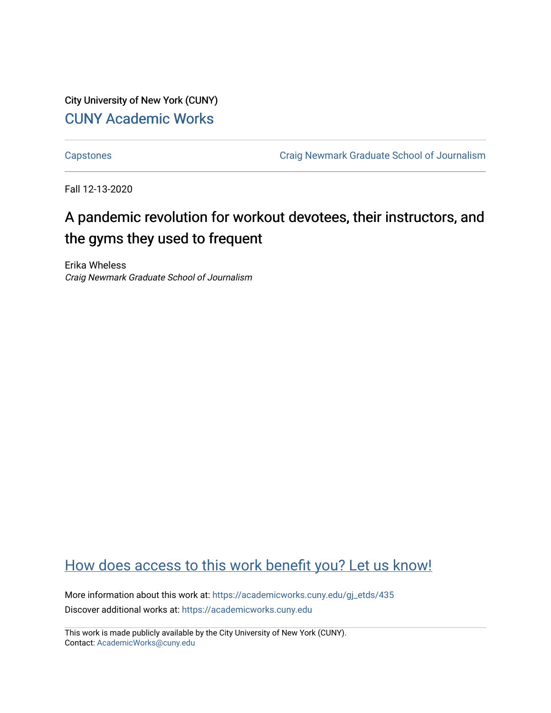City University of New York (CUNY) [CUNY Academic Works](https://academicworks.cuny.edu/) 

[Capstones](https://academicworks.cuny.edu/gj_etds) [Craig Newmark Graduate School of Journalism](https://academicworks.cuny.edu/gj) 

Fall 12-13-2020

# A pandemic revolution for workout devotees, their instructors, and the gyms they used to frequent

Erika Wheless Craig Newmark Graduate School of Journalism

# [How does access to this work benefit you? Let us know!](http://ols.cuny.edu/academicworks/?ref=https://academicworks.cuny.edu/gj_etds/435)

More information about this work at: [https://academicworks.cuny.edu/gj\\_etds/435](https://academicworks.cuny.edu/gj_etds/435)  Discover additional works at: [https://academicworks.cuny.edu](https://academicworks.cuny.edu/?)

This work is made publicly available by the City University of New York (CUNY). Contact: [AcademicWorks@cuny.edu](mailto:AcademicWorks@cuny.edu)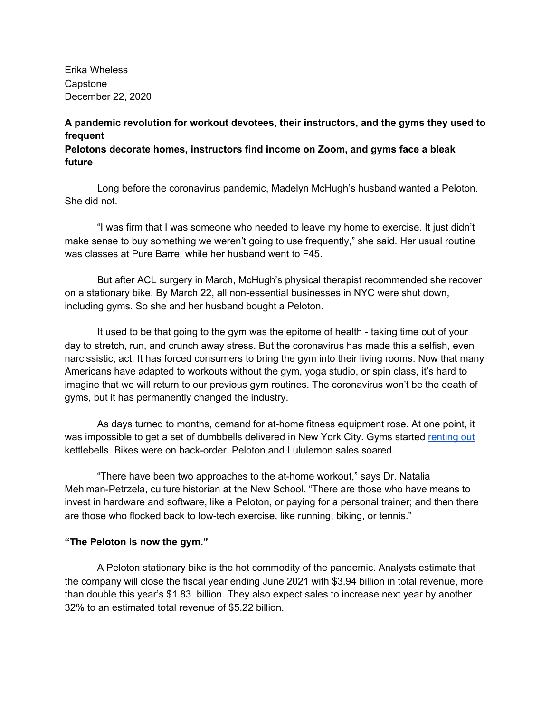Erika Wheless Capstone December 22, 2020

## **A pandemic revolution for workout devotees, their instructors, and the gyms they used to frequent**

**Pelotons decorate homes, instructors find income on Zoom, and gyms face a bleak future**

Long before the coronavirus pandemic, Madelyn McHugh's husband wanted a Peloton. She did not.

"I was firm that I was someone who needed to leave my home to exercise. It just didn't make sense to buy something we weren't going to use frequently," she said. Her usual routine was classes at Pure Barre, while her husband went to F45.

But after ACL surgery in March, McHugh's physical therapist recommended she recover on a stationary bike. By March 22, all non-essential businesses in NYC were shut down, including gyms. So she and her husband bought a Peloton.

It used to be that going to the gym was the epitome of health - taking time out of your day to stretch, run, and crunch away stress. But the coronavirus has made this a selfish, even narcissistic, act. It has forced consumers to bring the gym into their living rooms. Now that many Americans have adapted to workouts without the gym, yoga studio, or spin class, it's hard to imagine that we will return to our previous gym routines. The coronavirus won't be the death of gyms, but it has permanently changed the industry.

As days turned to months, demand for at-home fitness equipment rose. At one point, it was impossible to get a set of dumbbells delivered in New York City. Gyms started [renting](https://www.nytimes.com/2020/06/09/nyregion/kettlebells-in-stock.html) out kettlebells. Bikes were on back-order. Peloton and Lululemon sales soared.

"There have been two approaches to the at-home workout," says Dr. Natalia Mehlman-Petrzela, culture historian at the New School. "There are those who have means to invest in hardware and software, like a Peloton, or paying for a personal trainer; and then there are those who flocked back to low-tech exercise, like running, biking, or tennis."

## **"The Peloton is now the gym."**

A Peloton stationary bike is the hot commodity of the pandemic. Analysts estimate that the company will close the fiscal year ending June 2021 with \$3.94 billion in total revenue, more than double this year's \$1.83 billion. They also expect sales to increase next year by another 32% to an estimated total revenue of \$5.22 billion.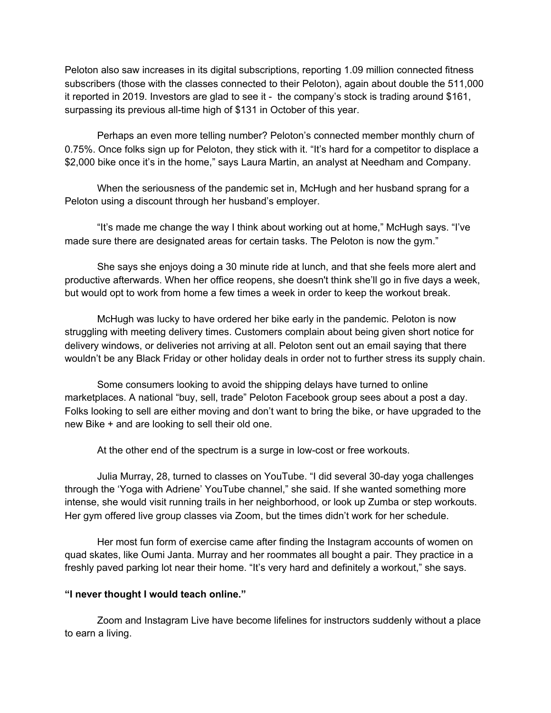Peloton also saw increases in its digital subscriptions, reporting 1.09 million connected fitness subscribers (those with the classes connected to their Peloton), again about double the 511,000 it reported in 2019. Investors are glad to see it - the company's stock is trading around \$161, surpassing its previous all-time high of \$131 in October of this year.

Perhaps an even more telling number? Peloton's connected member monthly churn of 0.75%. Once folks sign up for Peloton, they stick with it. "It's hard for a competitor to displace a \$2,000 bike once it's in the home," says Laura Martin, an analyst at Needham and Company.

When the seriousness of the pandemic set in, McHugh and her husband sprang for a Peloton using a discount through her husband's employer.

"It's made me change the way I think about working out at home," McHugh says. "I've made sure there are designated areas for certain tasks. The Peloton is now the gym."

She says she enjoys doing a 30 minute ride at lunch, and that she feels more alert and productive afterwards. When her office reopens, she doesn't think she'll go in five days a week, but would opt to work from home a few times a week in order to keep the workout break.

McHugh was lucky to have ordered her bike early in the pandemic. Peloton is now struggling with meeting delivery times. Customers complain about being given short notice for delivery windows, or deliveries not arriving at all. Peloton sent out an email saying that there wouldn't be any Black Friday or other holiday deals in order not to further stress its supply chain.

Some consumers looking to avoid the shipping delays have turned to online marketplaces. A national "buy, sell, trade" Peloton Facebook group sees about a post a day. Folks looking to sell are either moving and don't want to bring the bike, or have upgraded to the new Bike + and are looking to sell their old one.

At the other end of the spectrum is a surge in low-cost or free workouts.

Julia Murray, 28, turned to classes on YouTube. "I did several 30-day yoga challenges through the 'Yoga with Adriene' YouTube channel," she said. If she wanted something more intense, she would visit running trails in her neighborhood, or look up Zumba or step workouts. Her gym offered live group classes via Zoom, but the times didn't work for her schedule.

Her most fun form of exercise came after finding the Instagram accounts of women on quad skates, like Oumi Janta. Murray and her roommates all bought a pair. They practice in a freshly paved parking lot near their home. "It's very hard and definitely a workout," she says.

#### **"I never thought I would teach online."**

Zoom and Instagram Live have become lifelines for instructors suddenly without a place to earn a living.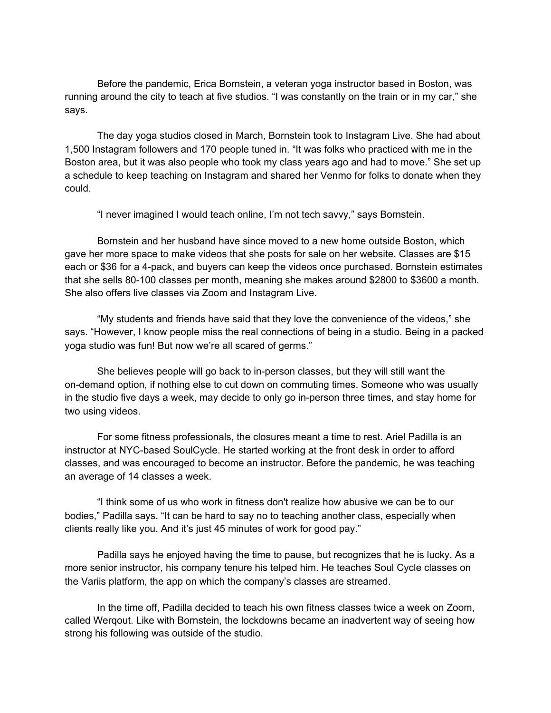Before the pandemic, Erica Bornstein, a veteran yoga instructor based in Boston, was running around the city to teach at five studios. "I was constantly on the train or in my car," she says.

The day yoga studios closed in March, Bornstein took to Instagram Live. She had about 1,500 Instagram followers and 170 people tuned in. "It was folks who practiced with me in the Boston area, but it was also people who took my class years ago and had to move." She set up a schedule to keep teaching on Instagram and shared her Venmo for folks to donate when they could.

"I never imagined I would teach online, I'm not tech savvy," says Bornstein.

Bornstein and her husband have since moved to a new home outside Boston, which gave her more space to make videos that she posts for sale on her website. Classes are \$15 each or \$36 for a 4-pack, and buyers can keep the videos once purchased. Bornstein estimates that she sells 80-100 classes per month, meaning she makes around \$2800 to \$3600 a month. She also offers live classes via Zoom and Instagram Live.

"My students and friends have said that they love the convenience of the videos," she says. "However, I know people miss the real connections of being in a studio. Being in a packed yoga studio was fun! But now we're all scared of germs."

She believes people will go back to in-person classes, but they will still want the on-demand option, if nothing else to cut down on commuting times. Someone who was usually in the studio five days a week, may decide to only go in-person three times, and stay home for two using videos.

For some fitness professionals, the closures meant a time to rest. Ariel Padilla is an instructor at NYC-based SoulCycle. He started working at the front desk in order to afford classes, and was encouraged to become an instructor. Before the pandemic, he was teaching an average of 14 classes a week.

"I think some of us who work in fitness don't realize how abusive we can be to our bodies," Padilla says. "It can be hard to say no to teaching another class, especially when clients really like you. And it's just 45 minutes of work for good pay."

Padilla says he enjoyed having the time to pause, but recognizes that he is lucky. As a more senior instructor, his company tenure his telped him. He teaches Soul Cycle classes on the Variis platform, the app on which the company's classes are streamed.

In the time off, Padilla decided to teach his own fitness classes twice a week on Zoom, called Werqout. Like with Bornstein, the lockdowns became an inadvertent way of seeing how strong his following was outside of the studio.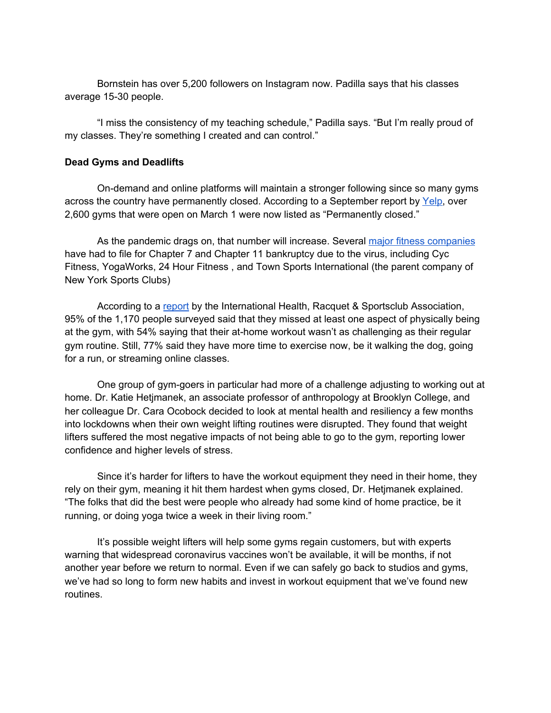Bornstein has over 5,200 followers on Instagram now. Padilla says that his classes average 15-30 people.

"I miss the consistency of my teaching schedule," Padilla says. "But I'm really proud of my classes. They're something I created and can control."

#### **Dead Gyms and Deadlifts**

On-demand and online platforms will maintain a stronger following since so many gyms across the country have permanently closed. According to a September report by [Yelp,](https://www.yelpeconomicaverage.com/business-closures-update-sep-2020.html) over 2,600 gyms that were open on March 1 were now listed as "Permanently closed."

As the pandemic drags on, that number will increase. Several major fitness [companies](https://docs.google.com/document/d/1Ajru_BXGu5tkVblmQQO9n8Jpv39aUoRgTqvH0IO75uA/edit) have had to file for Chapter 7 and Chapter 11 bankruptcy due to the virus, including Cyc Fitness, YogaWorks, 24 Hour Fitness , and Town Sports International (the parent company of New York Sports Clubs)

According to a [report](https://f.hubspotusercontent30.net/hubfs/167081/Publications/For%20Consumers_Theres%20No%20Perfect%20Substitute%20for%20Their%20Health%20Club_IHRSA_Planet%20Fitness.pdf?__hssc=192510837.2.1607698567516&__hstc=192510837.0b46b523e4c7f2c35ce2222500756e00.1606762463608.1606922329588.1607698567516.3&__hsfp=134240276&hsCtaTracking=71d7bbb2-07e2-46ed-a9bb-3392c12560e6%7C5eaf32cd-e194-4628-b1d2-fd0decb7f307) by the International Health, Racquet & Sportsclub Association, 95% of the 1,170 people surveyed said that they missed at least one aspect of physically being at the gym, with 54% saying that their at-home workout wasn't as challenging as their regular gym routine. Still, 77% said they have more time to exercise now, be it walking the dog, going for a run, or streaming online classes.

One group of gym-goers in particular had more of a challenge adjusting to working out at home. Dr. Katie Hetjmanek, an associate professor of anthropology at Brooklyn College, and her colleague Dr. Cara Ocobock decided to look at mental health and resiliency a few months into lockdowns when their own weight lifting routines were disrupted. They found that weight lifters suffered the most negative impacts of not being able to go to the gym, reporting lower confidence and higher levels of stress.

Since it's harder for lifters to have the workout equipment they need in their home, they rely on their gym, meaning it hit them hardest when gyms closed, Dr. Hetjmanek explained. "The folks that did the best were people who already had some kind of home practice, be it running, or doing yoga twice a week in their living room."

It's possible weight lifters will help some gyms regain customers, but with experts warning that widespread coronavirus vaccines won't be available, it will be months, if not another year before we return to normal. Even if we can safely go back to studios and gyms, we've had so long to form new habits and invest in workout equipment that we've found new routines.